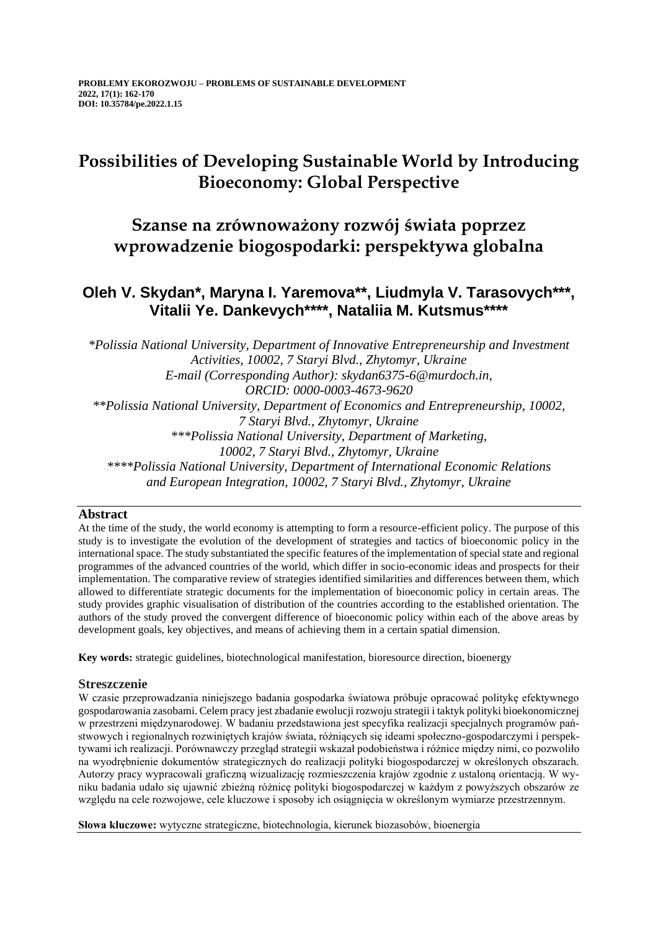# **Possibilities of Developing Sustainable World by Introducing Bioeconomy: Global Perspective**

## **Szanse na zrównoważony rozwój świata poprzez wprowadzenie biogospodarki: perspektywa globalna**

## **Oleh V. Skydan\*, Maryna I. Yaremova\*\*, Liudmyla V. Tarasovych\*\*\*, Vitalii Ye. Dankevych\*\*\*\*, Nataliia M. Kutsmus\*\*\*\***

*\*Polissia National University, Department of Innovative Entrepreneurship and Investment Activities, 10002, 7 Staryi Blvd., Zhytomyr, Ukraine E-mail (Corresponding Author): skydan6375-6@murdoch.in, ORCID: 0000-0003-4673-9620 \*\*Polissia National University, Department of Economics and Entrepreneurship, 10002, 7 Staryi Blvd., Zhytomyr, Ukraine \*\*\*Polissia National University, Department of Marketing, 10002, 7 Staryi Blvd., Zhytomyr, Ukraine \*\*\*\*Polissia National University, Department of International Economic Relations and European Integration, 10002, 7 Staryi Blvd., Zhytomyr, Ukraine*

### **Abstract**

At the time of the study, the world economy is attempting to form a resource-efficient policy. The purpose of this study is to investigate the evolution of the development of strategies and tactics of bioeconomic policy in the international space. The study substantiated the specific features of the implementation of special state and regional programmes of the advanced countries of the world, which differ in socio-economic ideas and prospects for their implementation. The comparative review of strategies identified similarities and differences between them, which allowed to differentiate strategic documents for the implementation of bioeconomic policy in certain areas. The study provides graphic visualisation of distribution of the countries according to the established orientation. The authors of the study proved the convergent difference of bioeconomic policy within each of the above areas by development goals, key objectives, and means of achieving them in a certain spatial dimension.

**Key words:** strategic guidelines, biotechnological manifestation, bioresource direction, bioenergy

### **Streszczenie**

W czasie przeprowadzania niniejszego badania gospodarka światowa próbuje opracować politykę efektywnego gospodarowania zasobami. Celem pracy jest zbadanie ewolucji rozwoju strategii i taktyk polityki bioekonomicznej w przestrzeni międzynarodowej. W badaniu przedstawiona jest specyfika realizacji specjalnych programów państwowych i regionalnych rozwiniętych krajów świata, różniących się ideami społeczno-gospodarczymi i perspektywami ich realizacji. Porównawczy przegląd strategii wskazał podobieństwa i różnice między nimi, co pozwoliło na wyodrębnienie dokumentów strategicznych do realizacji polityki biogospodarczej w określonych obszarach. Autorzy pracy wypracowali graficzną wizualizację rozmieszczenia krajów zgodnie z ustaloną orientacją. W wyniku badania udało się ujawnić zbieżną różnicę polityki biogospodarczej w każdym z powyższych obszarów ze względu na cele rozwojowe, cele kluczowe i sposoby ich osiągnięcia w określonym wymiarze przestrzennym.

**Słowa kluczowe:** wytyczne strategiczne, biotechnologia, kierunek biozasobów, bioenergia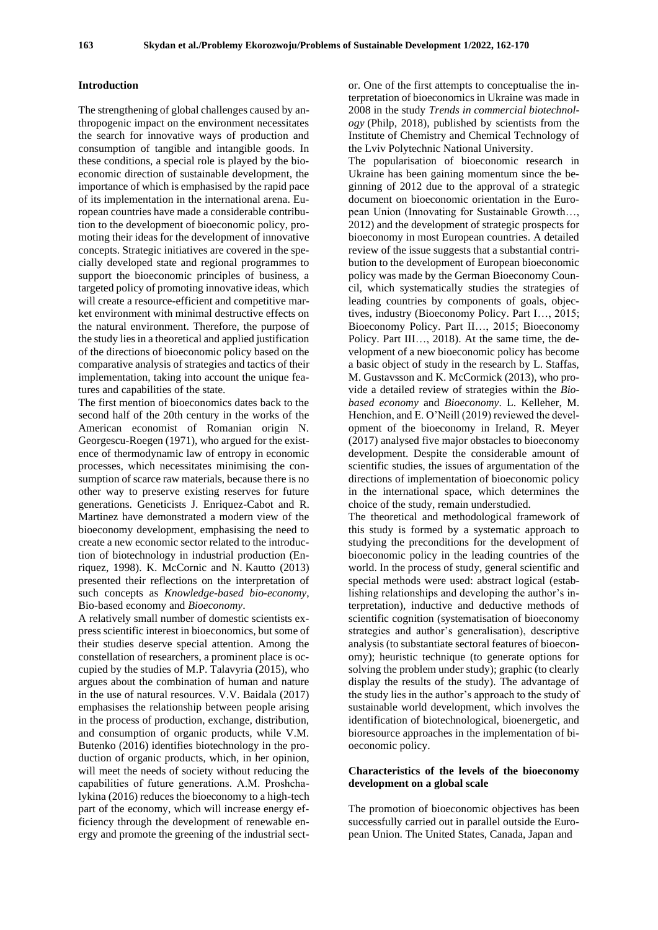#### **Introduction**

The strengthening of global challenges caused by anthropogenic impact on the environment necessitates the search for innovative ways of production and consumption of tangible and intangible goods. In these conditions, a special role is played by the bioeconomic direction of sustainable development, the importance of which is emphasised by the rapid pace of its implementation in the international arena. European countries have made a considerable contribution to the development of bioeconomic policy, promoting their ideas for the development of innovative concepts. Strategic initiatives are covered in the specially developed state and regional programmes to support the bioeconomic principles of business, a targeted policy of promoting innovative ideas, which will create a resource-efficient and competitive market environment with minimal destructive effects on the natural environment. Therefore, the purpose of the study lies in a theoretical and applied justification of the directions of bioeconomic policy based on the comparative analysis of strategies and tactics of their implementation, taking into account the unique features and capabilities of the state.

The first mention of bioeconomics dates back to the second half of the 20th century in the works of the American economist of Romanian origin N. Georgescu-Roegen (1971), who argued for the existence of thermodynamic law of entropy in economic processes, which necessitates minimising the consumption of scarce raw materials, because there is no other way to preserve existing reserves for future generations. Geneticists J. Enriquez-Cabot and R. Martinez have demonstrated a modern view of the bioeconomy development, emphasising the need to create a new economic sector related to the introduction of biotechnology in industrial production (Enriquez, 1998). K. McCornic and N. Kautto (2013) presented their reflections on the interpretation of such concepts as *Knowledge-based bio-economy,*  Bio-based economy and *Bioeconomy*.

A relatively small number of domestic scientists express scientific interest in bioeconomics, but some of their studies deserve special attention. Among the constellation of researchers, a prominent place is occupied by the studies of M.P. Talavyria (2015), who argues about the combination of human and nature in the use of natural resources. V.V. Baidala (2017) emphasises the relationship between people arising in the process of production, exchange, distribution, and consumption of organic products, while V.M. Butenko (2016) identifies biotechnology in the production of organic products, which, in her opinion, will meet the needs of society without reducing the capabilities of future generations. A.М. Proshchalykina (2016) reduces the bioeconomy to a high-tech part of the economy, which will increase energy efficiency through the development of renewable energy and promote the greening of the industrial sector. One of the first attempts to conceptualise the interpretation of bioeconomics in Ukraine was made in 2008 in the study *Trends in commercial biotechnology* (Philp, 2018), published by scientists from the Institute of Chemistry and Chemical Technology of the Lviv Polytechnic National University.

The popularisation of bioeconomic research in Ukraine has been gaining momentum since the beginning of 2012 due to the approval of a strategic document on bioeconomic orientation in the European Union (Innovating for Sustainable Growth…, 2012) and the development of strategic prospects for bioeconomy in most European countries. A detailed review of the issue suggests that a substantial contribution to the development of European bioeconomic policy was made by the German Bioeconomy Council, which systematically studies the strategies of leading countries by components of goals, objectives, industry (Bioeconomy Policy. Part I…, 2015; Bioeconomy Policy. Part II…, 2015; Bioeconomy Policy. Part III…, 2018). At the same time, the development of a new bioeconomic policy has become a basic object of study in the research by L. Staffas, M. Gustavsson and K. McCormick (2013), who provide a detailed review of strategies within the *Biobased economy* and *Bioeconomy*. L. Kelleher, M. Henchion, and E. O'Neill (2019) reviewed the development of the bioeconomy in Ireland, R. Meyer (2017) analysed five major obstacles to bioeconomy development. Despite the considerable amount of scientific studies, the issues of argumentation of the directions of implementation of bioeconomic policy in the international space, which determines the choice of the study, remain understudied.

The theoretical and methodological framework of this study is formed by a systematic approach to studying the preconditions for the development of bioeconomic policy in the leading countries of the world. In the process of study, general scientific and special methods were used: abstract logical (establishing relationships and developing the author's interpretation), inductive and deductive methods of scientific cognition (systematisation of bioeconomy strategies and author's generalisation), descriptive analysis (to substantiate sectoral features of bioeconomy); heuristic technique (to generate options for solving the problem under study); graphic (to clearly display the results of the study). The advantage of the study lies in the author's approach to the study of sustainable world development, which involves the identification of biotechnological, bioenergetic, and bioresource approaches in the implementation of bioeconomic policy.

#### **Characteristics of the levels of the bioeconomy development on a global scale**

The promotion of bioeconomic objectives has been successfully carried out in parallel outside the European Union. The United States, Canada, Japan and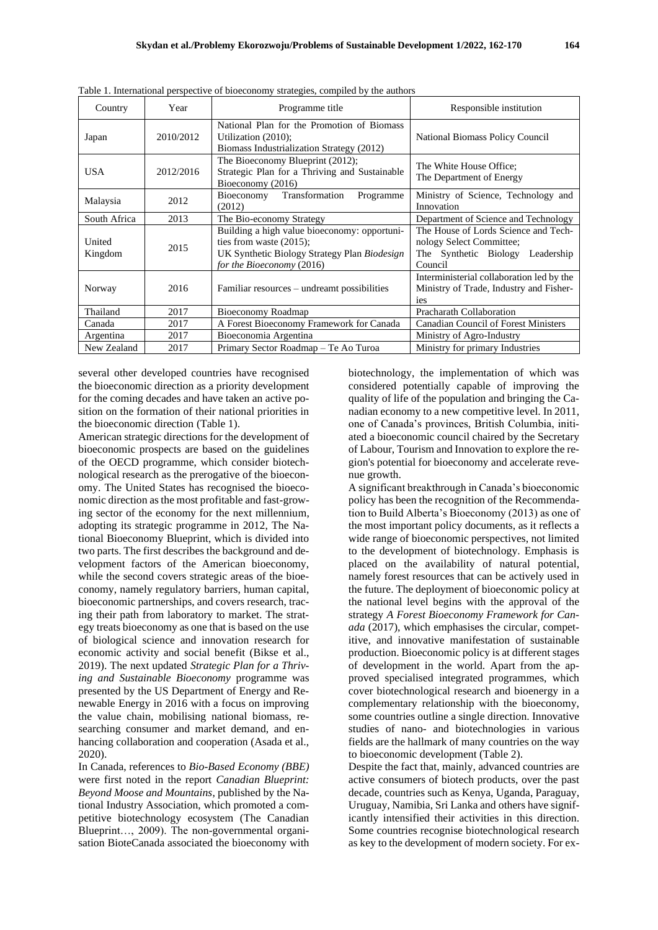| Country           | Year      | racio 1. International perspective of croceonomy strategies, complied by the authori<br>Programme title                                                 | Responsible institution                                                                                         |
|-------------------|-----------|---------------------------------------------------------------------------------------------------------------------------------------------------------|-----------------------------------------------------------------------------------------------------------------|
| Japan             | 2010/2012 | National Plan for the Promotion of Biomass<br>Utilization (2010);<br>Biomass Industrialization Strategy (2012)                                          | National Biomass Policy Council                                                                                 |
| <b>USA</b>        | 2012/2016 | The Bioeconomy Blueprint (2012);<br>Strategic Plan for a Thriving and Sustainable<br>Bioeconomy (2016)                                                  | The White House Office;<br>The Department of Energy                                                             |
| Malaysia          | 2012      | Transformation<br>Bioeconomy<br>Programme<br>(2012)                                                                                                     | Ministry of Science, Technology and<br>Innovation                                                               |
| South Africa      | 2013      | The Bio-economy Strategy                                                                                                                                | Department of Science and Technology                                                                            |
| United<br>Kingdom | 2015      | Building a high value bioeconomy: opportuni-<br>ties from waste $(2015)$ ;<br>UK Synthetic Biology Strategy Plan Biodesign<br>for the Bioeconomy (2016) | The House of Lords Science and Tech-<br>nology Select Committee;<br>The Synthetic Biology Leadership<br>Council |
| Norway            | 2016      | Familiar resources – undreamt possibilities                                                                                                             | Interministerial collaboration led by the<br>Ministry of Trade, Industry and Fisher-<br><sub>1es</sub>          |
| Thailand          | 2017      | Bioeconomy Roadmap                                                                                                                                      | Pracharath Collaboration                                                                                        |
| Canada            | 2017      | A Forest Bioeconomy Framework for Canada                                                                                                                | <b>Canadian Council of Forest Ministers</b>                                                                     |
| Argentina         | 2017      | Bioeconomia Argentina                                                                                                                                   | Ministry of Agro-Industry                                                                                       |
| New Zealand       | 2017      | Primary Sector Roadmap - Te Ao Turoa                                                                                                                    | Ministry for primary Industries                                                                                 |

Table 1. International perspective of bioeconomy strategies, compiled by the authors

several other developed countries have recognised the bioeconomic direction as a priority development for the coming decades and have taken an active position on the formation of their national priorities in the bioeconomic direction (Table 1).

American strategic directions for the development of bioeconomic prospects are based on the guidelines of the OECD programme, which consider biotechnological research as the prerogative of the bioeconomy. The United States has recognised the bioeconomic direction as the most profitable and fast-growing sector of the economy for the next millennium, adopting its strategic programme in 2012, The National Bioeconomy Blueprint, which is divided into two parts. The first describes the background and development factors of the American bioeconomy, while the second covers strategic areas of the bioeconomy, namely regulatory barriers, human capital, bioeconomic partnerships, and covers research, tracing their path from laboratory to market. The strategy treats bioeconomy as one that is based on the use of biological science and innovation research for economic activity and social benefit (Bikse et al., 2019). The next updated *Strategic Plan for a Thriving and Sustainable Bioeconomy* programme was presented by the US Department of Energy and Renewable Energy in 2016 with a focus on improving the value chain, mobilising national biomass, researching consumer and market demand, and enhancing collaboration and cooperation (Asada et al., 2020).

In Canada, references to *Bio-Based Economy (BBE)* were first noted in the report *Canadian Blueprint: Beyond Moose and Mountains*, published by the National Industry Association, which promoted a competitive biotechnology ecosystem (The Canadian Blueprint…, 2009). The non-governmental organisation BioteCanada associated the bioeconomy with

biotechnology, the implementation of which was considered potentially capable of improving the quality of life of the population and bringing the Canadian economy to a new competitive level. In 2011, one of Canada's provinces, British Columbia, initiated a bioeconomic council chaired by the Secretary of Labour, Tourism and Innovation to explore the region's potential for bioeconomy and accelerate revenue growth.

A significant breakthrough in Canada's bioeconomic policy has been the recognition of the Recommendation to Build Alberta's Bioeconomy (2013) as one of the most important policy documents, as it reflects a wide range of bioeconomic perspectives, not limited to the development of biotechnology. Emphasis is placed on the availability of natural potential, namely forest resources that can be actively used in the future. The deployment of bioeconomic policy at the national level begins with the approval of the strategy *A Forest Bioeconomy Framework for Canada* (2017), which emphasises the circular, competitive, and innovative manifestation of sustainable production. Bioeconomic policy is at different stages of development in the world. Apart from the approved specialised integrated programmes, which cover biotechnological research and bioenergy in a complementary relationship with the bioeconomy, some countries outline a single direction. Innovative studies of nano- and biotechnologies in various fields are the hallmark of many countries on the way to bioeconomic development (Table 2).

Despite the fact that, mainly, advanced countries are active consumers of biotech products, over the past decade, countries such as Kenya, Uganda, Paraguay, Uruguay, Namibia, Sri Lanka and others have significantly intensified their activities in this direction. Some countries recognise biotechnological research as key to the development of modern society. For ex-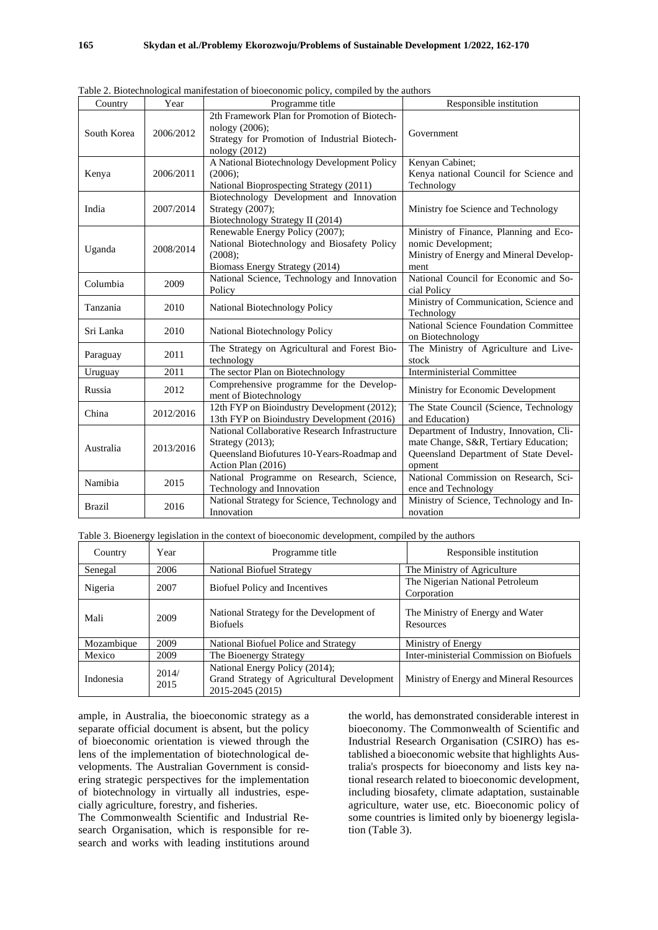| Table 2. Blotechnological manifestation of bioeconomic policy, compiled by the authors |           |                                                                                                                                        |                                                                                                                                      |  |
|----------------------------------------------------------------------------------------|-----------|----------------------------------------------------------------------------------------------------------------------------------------|--------------------------------------------------------------------------------------------------------------------------------------|--|
| Country                                                                                | Year      | Programme title                                                                                                                        | Responsible institution                                                                                                              |  |
| South Korea                                                                            | 2006/2012 | 2th Framework Plan for Promotion of Biotech-<br>nology (2006);<br>Strategy for Promotion of Industrial Biotech-<br>nology (2012)       | Government                                                                                                                           |  |
| Kenya                                                                                  | 2006/2011 | A National Biotechnology Development Policy<br>$(2006)$ ;<br>National Bioprospecting Strategy (2011)                                   | Kenyan Cabinet:<br>Kenya national Council for Science and<br>Technology                                                              |  |
| India                                                                                  | 2007/2014 | Biotechnology Development and Innovation<br>Strategy (2007);<br>Biotechnology Strategy II (2014)                                       | Ministry foe Science and Technology                                                                                                  |  |
| Uganda                                                                                 | 2008/2014 | Renewable Energy Policy (2007);<br>National Biotechnology and Biosafety Policy<br>(2008);<br>Biomass Energy Strategy (2014)            | Ministry of Finance, Planning and Eco-<br>nomic Development;<br>Ministry of Energy and Mineral Develop-<br>ment                      |  |
| Columbia                                                                               | 2009      | National Science, Technology and Innovation<br>Policy                                                                                  | National Council for Economic and So-<br>cial Policy                                                                                 |  |
| Tanzania                                                                               | 2010      | National Biotechnology Policy                                                                                                          | Ministry of Communication, Science and<br>Technology                                                                                 |  |
| Sri Lanka                                                                              | 2010      | National Biotechnology Policy                                                                                                          | National Science Foundation Committee<br>on Biotechnology                                                                            |  |
| Paraguay                                                                               | 2011      | The Strategy on Agricultural and Forest Bio-<br>technology                                                                             | The Ministry of Agriculture and Live-<br>stock                                                                                       |  |
| Uruguay                                                                                | 2011      | The sector Plan on Biotechnology                                                                                                       | <b>Interministerial Committee</b>                                                                                                    |  |
| Russia                                                                                 | 2012      | Comprehensive programme for the Develop-<br>ment of Biotechnology                                                                      | Ministry for Economic Development                                                                                                    |  |
| China                                                                                  | 2012/2016 | 12th FYP on Bioindustry Development (2012);<br>13th FYP on Bioindustry Development (2016)                                              | The State Council (Science, Technology<br>and Education)                                                                             |  |
| Australia                                                                              | 2013/2016 | National Collaborative Research Infrastructure<br>Strategy (2013);<br>Queensland Biofutures 10-Years-Roadmap and<br>Action Plan (2016) | Department of Industry, Innovation, Cli-<br>mate Change, S&R, Tertiary Education;<br>Queensland Department of State Devel-<br>opment |  |
| Namibia                                                                                | 2015      | National Programme on Research, Science,<br>Technology and Innovation                                                                  | National Commission on Research, Sci-<br>ence and Technology                                                                         |  |
| <b>Brazil</b>                                                                          | 2016      | National Strategy for Science, Technology and<br>Innovation                                                                            | Ministry of Science, Technology and In-<br>novation                                                                                  |  |

 $T - 11 - 2 D$ Table 2. Biotechnological manifestation of bioeconomic policy, compiled by the authors

|  |  | Table 3. Bioenergy legislation in the context of bioeconomic development, compiled by the authors |  |  |
|--|--|---------------------------------------------------------------------------------------------------|--|--|
|--|--|---------------------------------------------------------------------------------------------------|--|--|

| Country    | Year          | Programme title                                                                                  | Responsible institution                        |
|------------|---------------|--------------------------------------------------------------------------------------------------|------------------------------------------------|
| Senegal    | 2006          | National Biofuel Strategy                                                                        | The Ministry of Agriculture                    |
| Nigeria    | 2007          | <b>Biofuel Policy and Incentives</b>                                                             | The Nigerian National Petroleum<br>Corporation |
| Mali       | 2009          | National Strategy for the Development of<br><b>Biofuels</b>                                      | The Ministry of Energy and Water<br>Resources  |
| Mozambique | 2009          | National Biofuel Police and Strategy                                                             | Ministry of Energy                             |
| Mexico     | 2009          | The Bioenergy Strategy                                                                           | Inter-ministerial Commission on Biofuels       |
| Indonesia  | 2014/<br>2015 | National Energy Policy (2014);<br>Grand Strategy of Agricultural Development<br>2015-2045 (2015) | Ministry of Energy and Mineral Resources       |

ample, in Australia, the bioeconomic strategy as a separate official document is absent, but the policy of bioeconomic orientation is viewed through the lens of the implementation of biotechnological developments. The Australian Government is considering strategic perspectives for the implementation of biotechnology in virtually all industries, especially agriculture, forestry, and fisheries.

The Commonwealth Scientific and Industrial Research Organisation, which is responsible for research and works with leading institutions around the world, has demonstrated considerable interest in bioeconomy. The Commonwealth of Scientific and Industrial Research Organisation (CSIRO) has established a bioeconomic website that highlights Australia's prospects for bioeconomy and lists key national research related to bioeconomic development, including biosafety, climate adaptation, sustainable agriculture, water use, etc. Bioeconomic policy of some countries is limited only by bioenergy legislation (Table 3).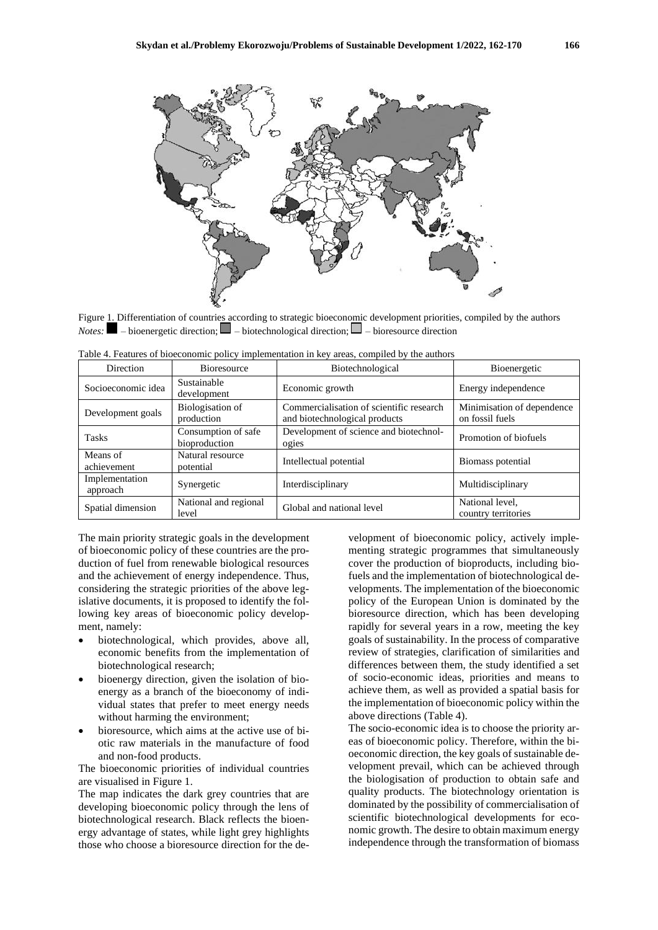

Figure 1. Differentiation of countries according to strategic bioeconomic development priorities, compiled by the authors *Notes:*  $\blacksquare$  – bioenergetic direction;  $\blacksquare$  – biotechnological direction;  $\blacksquare$  – bioresource direction

| Direction                  | <b>Bioresource</b>                   | Biotechnological                                                          | Bioenergetic                                  |
|----------------------------|--------------------------------------|---------------------------------------------------------------------------|-----------------------------------------------|
| Socioeconomic idea         | Sustainable<br>development           | Economic growth                                                           | Energy independence                           |
| Development goals          | Biologisation of<br>production       | Commercialisation of scientific research<br>and biotechnological products | Minimisation of dependence<br>on fossil fuels |
| <b>Tasks</b>               | Consumption of safe<br>bioproduction | Development of science and biotechnol-<br>ogies                           | Promotion of biofuels                         |
| Means of<br>achievement    | Natural resource<br>potential        | Intellectual potential                                                    | Biomass potential                             |
| Implementation<br>approach | Synergetic                           | Interdisciplinary                                                         | Multidisciplinary                             |
| Spatial dimension          | National and regional<br>level       | Global and national level                                                 | National level,<br>country territories        |

Table 4. Features of bioeconomic policy implementation in key areas, compiled by the authors

The main priority strategic goals in the development of bioeconomic policy of these countries are the production of fuel from renewable biological resources and the achievement of energy independence. Thus, considering the strategic priorities of the above legislative documents, it is proposed to identify the following key areas of bioeconomic policy development, namely:

- biotechnological, which provides, above all, economic benefits from the implementation of biotechnological research;
- bioenergy direction, given the isolation of bioenergy as a branch of the bioeconomy of individual states that prefer to meet energy needs without harming the environment;
- bioresource, which aims at the active use of biotic raw materials in the manufacture of food and non-food products.

The bioeconomic priorities of individual countries are visualised in Figure 1.

The map indicates the dark grey countries that are developing bioeconomic policy through the lens of biotechnological research. Black reflects the bioenergy advantage of states, while light grey highlights those who choose a bioresource direction for the development of bioeconomic policy, actively implementing strategic programmes that simultaneously cover the production of bioproducts, including biofuels and the implementation of biotechnological developments. The implementation of the bioeconomic policy of the European Union is dominated by the bioresource direction, which has been developing rapidly for several years in a row, meeting the key goals of sustainability. In the process of comparative review of strategies, clarification of similarities and differences between them, the study identified a set of socio-economic ideas, priorities and means to achieve them, as well as provided a spatial basis for the implementation of bioeconomic policy within the above directions (Table 4).

The socio-economic idea is to choose the priority areas of bioeconomic policy. Therefore, within the bioeconomic direction, the key goals of sustainable development prevail, which can be achieved through the biologisation of production to obtain safe and quality products. The biotechnology orientation is dominated by the possibility of commercialisation of scientific biotechnological developments for economic growth. The desire to obtain maximum energy independence through the transformation of biomass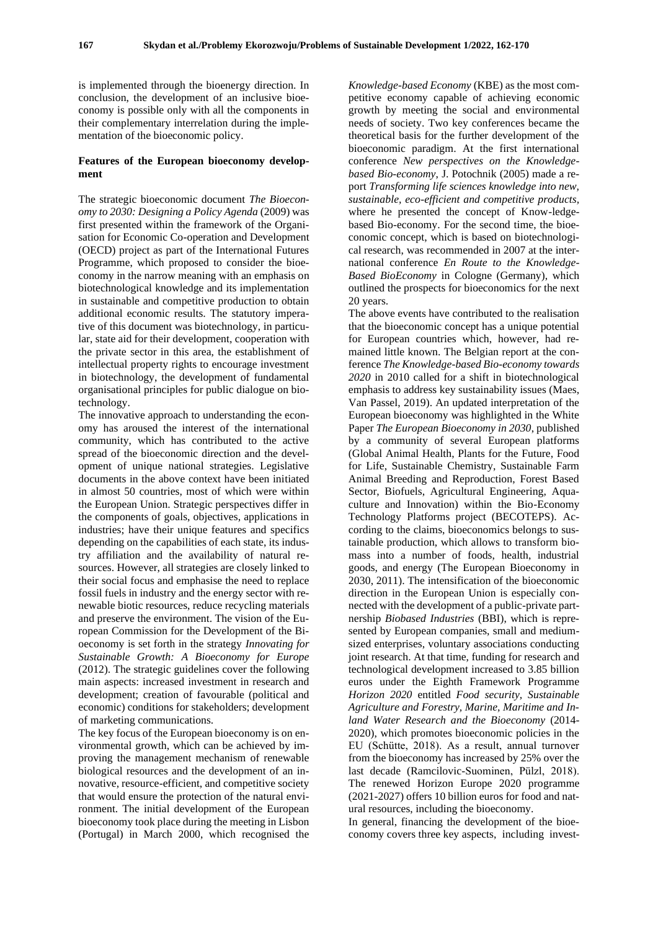is implemented through the bioenergy direction. In conclusion, the development of an inclusive bioeconomy is possible only with all the components in their complementary interrelation during the implementation of the bioeconomic policy.

#### **Features of the European bioeconomy development**

The strategic bioeconomic document *The Bioeconomy to 2030: Designing a Policy Agenda* (2009) was first presented within the framework of the Organisation for Economic Co-operation and Development (OECD) project as part of the International Futures Programme, which proposed to consider the bioeconomy in the narrow meaning with an emphasis on biotechnological knowledge and its implementation in sustainable and competitive production to obtain additional economic results. The statutory imperative of this document was biotechnology, in particular, state aid for their development, cooperation with the private sector in this area, the establishment of intellectual property rights to encourage investment in biotechnology, the development of fundamental organisational principles for public dialogue on biotechnology.

The innovative approach to understanding the economy has aroused the interest of the international community, which has contributed to the active spread of the bioeconomic direction and the development of unique national strategies. Legislative documents in the above context have been initiated in almost 50 countries, most of which were within the European Union. Strategic perspectives differ in the components of goals, objectives, applications in industries; have their unique features and specifics depending on the capabilities of each state, its industry affiliation and the availability of natural resources. However, all strategies are closely linked to their social focus and emphasise the need to replace fossil fuels in industry and the energy sector with renewable biotic resources, reduce recycling materials and preserve the environment. The vision of the European Commission for the Development of the Bioeconomy is set forth in the strategy *Innovating for Sustainable Growth: A Bioeconomy for Europe* (2012). The strategic guidelines cover the following main aspects: increased investment in research and development; creation of favourable (political and economic) conditions for stakeholders; development of marketing communications.

The key focus of the European bioeconomy is on environmental growth, which can be achieved by improving the management mechanism of renewable biological resources and the development of an innovative, resource-efficient, and competitive society that would ensure the protection of the natural environment. The initial development of the European bioeconomy took place during the meeting in Lisbon (Portugal) in March 2000, which recognised the

*Knowledge-based Economy* (KBE) as the most competitive economy capable of achieving economic growth by meeting the social and environmental needs of society. Two key conferences became the theoretical basis for the further development of the bioeconomic paradigm. At the first international conference *New perspectives on the Knowledgebased Bio-economy*, J. Potochnik (2005) made a report *Transforming life sciences knowledge into new, sustainable, eco-efficient and competitive products,*  where he presented the concept of Know-ledgebased Bio-economy. For the second time, the bioeconomic concept, which is based on biotechnological research, was recommended in 2007 at the international conference *En Route to the Knowledge-Based BioEconomy* in Cologne (Germany), which outlined the prospects for bioeconomics for the next 20 years.

The above events have contributed to the realisation that the bioeconomic concept has a unique potential for European countries which, however, had remained little known. The Belgian report at the conference *The Knowledge-based Bio-economy towards 2020* in 2010 called for a shift in biotechnological emphasis to address key sustainability issues (Maes, Van Passel, 2019). An updated interpretation of the European bioeconomy was highlighted in the White Paper *The European Bioeconomy in 2030*, published by a community of several European platforms (Global Animal Health, Plants for the Future, Food for Life, Sustainable Chemistry, Sustainable Farm Animal Breeding and Reproduction, Forest Based Sector, Biofuels, Agricultural Engineering, Aquaculture and Innovation) within the Bio-Economy Technology Platforms project (BECOTEPS). According to the claims, bioeconomics belongs to sustainable production, which allows to transform biomass into a number of foods, health, industrial goods, and energy (The European Bioeconomy in 2030, 2011). The intensification of the bioeconomic direction in the European Union is especially connected with the development of a public-private partnership *Biobased Industries* (BBI), which is represented by European companies, small and mediumsized enterprises, voluntary associations conducting joint research. At that time, funding for research and technological development increased to 3.85 billion euros under the Eighth Framework Programme *Horizon 2020* entitled *Food security, Sustainable Agriculture and Forestry, Marine, Maritime and Inland Water Research and the Bioeconomy* (2014- 2020), which promotes bioeconomic policies in the EU (Schütte, 2018). As a result, annual turnover from the bioeconomy has increased by 25% over the last decade (Ramcilovic-Suominen, Pülzl, 2018). The renewed Horizon Europe 2020 programme (2021-2027) offers 10 billion euros for food and natural resources, including the bioeconomy.

In general, financing the development of the bioeconomy covers three key aspects, including invest-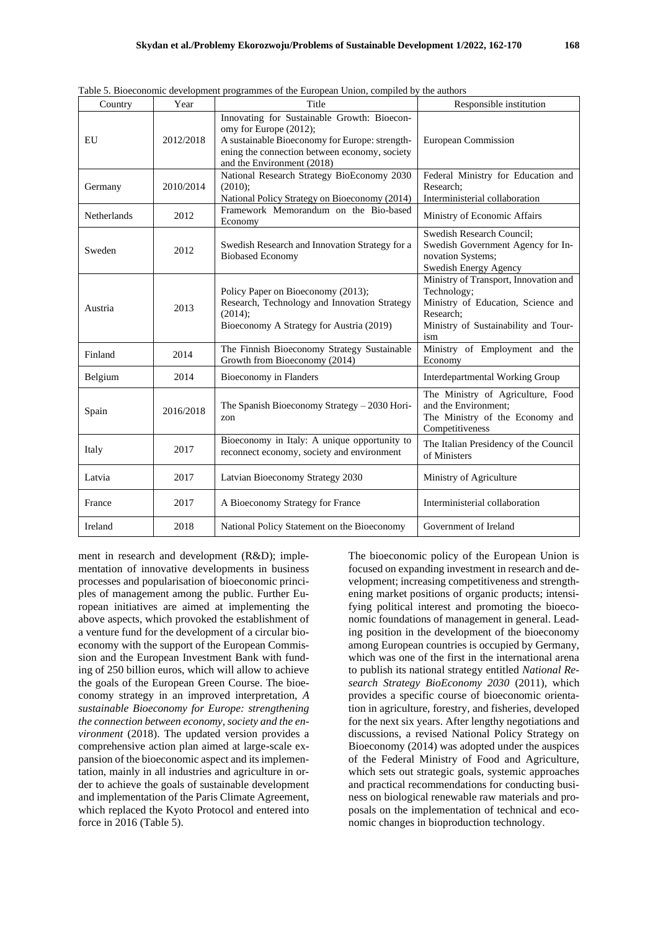| Table 5. Bioeconomic development programmes of the European Union, compiled by the authors |           |                                                                                                                                                                                                        |                                                                                                                                                        |  |
|--------------------------------------------------------------------------------------------|-----------|--------------------------------------------------------------------------------------------------------------------------------------------------------------------------------------------------------|--------------------------------------------------------------------------------------------------------------------------------------------------------|--|
| Country                                                                                    | Year      | Title                                                                                                                                                                                                  | Responsible institution                                                                                                                                |  |
| EU                                                                                         | 2012/2018 | Innovating for Sustainable Growth: Bioecon-<br>omy for Europe (2012);<br>A sustainable Bioeconomy for Europe: strength-<br>ening the connection between economy, society<br>and the Environment (2018) | European Commission                                                                                                                                    |  |
| Germany                                                                                    | 2010/2014 | National Research Strategy BioEconomy 2030<br>$(2010)$ ;<br>National Policy Strategy on Bioeconomy (2014)                                                                                              | Federal Ministry for Education and<br>Research:<br>Interministerial collaboration                                                                      |  |
| Netherlands                                                                                | 2012      | Framework Memorandum on the Bio-based<br>Economy                                                                                                                                                       | Ministry of Economic Affairs                                                                                                                           |  |
| Sweden                                                                                     | 2012      | Swedish Research and Innovation Strategy for a<br><b>Biobased Economy</b>                                                                                                                              | Swedish Research Council;<br>Swedish Government Agency for In-<br>novation Systems;<br>Swedish Energy Agency                                           |  |
| Austria                                                                                    | 2013      | Policy Paper on Bioeconomy (2013);<br>Research, Technology and Innovation Strategy<br>(2014);<br>Bioeconomy A Strategy for Austria (2019)                                                              | Ministry of Transport, Innovation and<br>Technology;<br>Ministry of Education, Science and<br>Research;<br>Ministry of Sustainability and Tour-<br>ism |  |
| Finland                                                                                    | 2014      | The Finnish Bioeconomy Strategy Sustainable<br>Growth from Bioeconomy (2014)                                                                                                                           | Ministry of Employment and the<br>Economy                                                                                                              |  |
| Belgium                                                                                    | 2014      | Bioeconomy in Flanders                                                                                                                                                                                 | <b>Interdepartmental Working Group</b>                                                                                                                 |  |
| Spain                                                                                      | 2016/2018 | The Spanish Bioeconomy Strategy - 2030 Hori-<br>zon                                                                                                                                                    | The Ministry of Agriculture, Food<br>and the Environment:<br>The Ministry of the Economy and<br>Competitiveness                                        |  |
| Italy                                                                                      | 2017      | Bioeconomy in Italy: A unique opportunity to<br>reconnect economy, society and environment                                                                                                             | The Italian Presidency of the Council<br>of Ministers                                                                                                  |  |
| Latvia                                                                                     | 2017      | Latvian Bioeconomy Strategy 2030                                                                                                                                                                       | Ministry of Agriculture                                                                                                                                |  |
| France                                                                                     | 2017      | A Bioeconomy Strategy for France                                                                                                                                                                       | Interministerial collaboration                                                                                                                         |  |
| Ireland                                                                                    | 2018      | National Policy Statement on the Bioeconomy                                                                                                                                                            | Government of Ireland                                                                                                                                  |  |

Table 5. Bioeconomic development programmes of the European Union, compiled by the authors

ment in research and development (R&D); implementation of innovative developments in business processes and popularisation of bioeconomic principles of management among the public. Further European initiatives are aimed at implementing the above aspects, which provoked the establishment of a venture fund for the development of a circular bioeconomy with the support of the European Commission and the European Investment Bank with funding of 250 billion euros, which will allow to achieve the goals of the European Green Course. The bioeconomy strategy in an improved interpretation, *A sustainable Bioeconomy for Europe: strengthening the connection between economy, society and the environment* (2018). The updated version provides a comprehensive action plan aimed at large-scale expansion of the bioeconomic aspect and its implementation, mainly in all industries and agriculture in order to achieve the goals of sustainable development and implementation of the Paris Climate Agreement, which replaced the Kyoto Protocol and entered into force in 2016 (Table 5).

The bioeconomic policy of the European Union is focused on expanding investment in research and development; increasing competitiveness and strengthening market positions of organic products; intensifying political interest and promoting the bioeconomic foundations of management in general. Leading position in the development of the bioeconomy among European countries is occupied by Germany, which was one of the first in the international arena to publish its national strategy entitled *National Research Strategy BioEconomy 2030* (2011), which provides a specific course of bioeconomic orientation in agriculture, forestry, and fisheries, developed for the next six years. After lengthy negotiations and discussions, a revised National Policy Strategy on Bioeconomy (2014) was adopted under the auspices of the Federal Ministry of Food and Agriculture, which sets out strategic goals, systemic approaches and practical recommendations for conducting business on biological renewable raw materials and proposals on the implementation of technical and economic changes in bioproduction technology.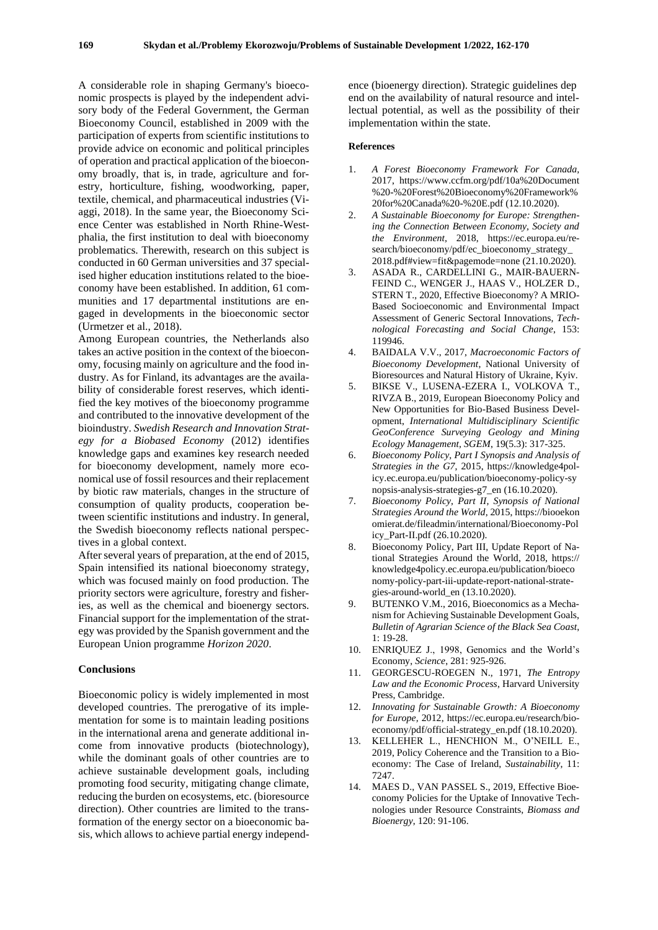A considerable role in shaping Germany's bioeconomic prospects is played by the independent advisory body of the Federal Government, the German Bioeconomy Council, established in 2009 with the participation of experts from scientific institutions to provide advice on economic and political principles of operation and practical application of the bioeconomy broadly, that is, in trade, agriculture and forestry, horticulture, fishing, woodworking, paper, textile, chemical, and pharmaceutical industries (Viaggi, 2018). In the same year, the Bioeconomy Science Center was established in North Rhine-Westphalia, the first institution to deal with bioeconomy problematics. Therewith, research on this subject is conducted in 60 German universities and 37 specialised higher education institutions related to the bioeconomy have been established. In addition, 61 communities and 17 departmental institutions are engaged in developments in the bioeconomic sector (Urmetzer et al., 2018).

Among European countries, the Netherlands also takes an active position in the context of the bioeconomy, focusing mainly on agriculture and the food industry. As for Finland, its advantages are the availability of considerable forest reserves, which identified the key motives of the bioeconomy programme and contributed to the innovative development of the bioindustry. *Swedish Research and Innovation Strategy for a Biobased Economy* (2012) identifies knowledge gaps and examines key research needed for bioeconomy development, namely more economical use of fossil resources and their replacement by biotic raw materials, changes in the structure of consumption of quality products, cooperation between scientific institutions and industry. In general, the Swedish bioeconomy reflects national perspectives in a global context.

After several years of preparation, at the end of 2015, Spain intensified its national bioeconomy strategy, which was focused mainly on food production. The priority sectors were agriculture, forestry and fisheries, as well as the chemical and bioenergy sectors. Financial support for the implementation of the strategy was provided by the Spanish government and the European Union programme *Horizon 2020*.

#### **Conclusions**

Bioeconomic policy is widely implemented in most developed countries. The prerogative of its implementation for some is to maintain leading positions in the international arena and generate additional income from innovative products (biotechnology), while the dominant goals of other countries are to achieve sustainable development goals, including promoting food security, mitigating change climate, reducing the burden on ecosystems, etc. (bioresource direction). Other countries are limited to the transformation of the energy sector on a bioeconomic basis, which allows to achieve partial energy independ-

ence (bioenergy direction). Strategic guidelines dep end on the availability of natural resource and intellectual potential, as well as the possibility of their implementation within the state.

#### **References**

- 1. *A Forest Bioeconomy Framework For Canada,* 2017, https://www.ccfm.org/pdf/10a%20Document %20-%20Forest%20Bioeconomy%20Framework% 20for%20Canada%20-%20E.pdf (12.10.2020).
- 2. *A Sustainable Bioeconomy for Europe: Strengthening the Connection Between Economy, Society and the Environment,* 2018, https://ec.europa.eu/research/bioeconomy/pdf/ec\_bioeconomy\_strategy\_ 2018.pdf#view=fit&pagemode=none (21.10.2020).
- 3. ASADA R., CARDELLINI G., MAIR-BAUERN-FEIND C., WENGER J., HAAS V., HOLZER D., STERN T., 2020, Effective Bioeconomy? A MRIO-Based Socioeconomic and Environmental Impact Assessment of Generic Sectoral Innovations, *Technological Forecasting and Social Change*, 153: 119946.
- 4. BAIDALA V.V., 2017, *Macroeconomic Factors of Bioeconomy Development*, National University of Bioresources and Natural History of Ukraine, Kyiv.
- 5. BIKSE V., LUSENA-EZERA I., VOLKOVA T., RIVZA B., 2019, European Bioeconomy Policy and New Opportunities for Bio-Based Business Development, *International Multidisciplinary Scientific GeoConference Surveying Geology and Mining Ecology Management, SGEM*, 19(5.3): 317-325.
- 6. *Bioeconomy Policy, Part I Synopsis and Analysis of Strategies in the G7*, 2015, https://knowledge4policy.ec.europa.eu/publication/bioeconomy-policy-sy nopsis-analysis-strategies-g7\_en (16.10.2020).
- 7. *Bioeconomy Policy, Part II, Synopsis of National Strategies Around the World*, 2015, https://biooekon omierat.de/fileadmin/international/Bioeconomy-Pol icy\_Part-II.pdf (26.10.2020).
- 8. Bioeconomy Policy, Part III, Update Report of National Strategies Around the World, 2018, https:// knowledge4policy.ec.europa.eu/publication/bioeco nomy-policy-part-iii-update-report-national-strategies-around-world\_en (13.10.2020).
- 9. BUTENKO V.M., 2016, Bioeconomics as a Mechanism for Achieving Sustainable Development Goals, *Bulletin of Agrarian Science of the Black Sea Coast*, 1: 19-28.
- 10. ENRIQUEZ J., 1998, Genomics and the World's Economy, *Science*, 281: 925-926.
- 11. GEORGESCU-ROEGEN N., 1971, *The Entropy Law and the Economic Process*, Harvard University Press, Cambridge.
- 12. *Innovating for Sustainable Growth: A Bioeconomy for Europe,* 2012, https://ec.europa.eu/research/bioeconomy/pdf/official-strategy\_en.pdf (18.10.2020).
- 13. KELLEHER L., HENCHION M., O'NEILL E., 2019, Policy Coherence and the Transition to a Bioeconomy: The Case of Ireland, *Sustainability*, 11: 7247.
- 14. MAES D., VAN PASSEL S., 2019, Effective Bioeconomy Policies for the Uptake of Innovative Technologies under Resource Constraints, *Biomass and Bioenergy*, 120: 91-106.